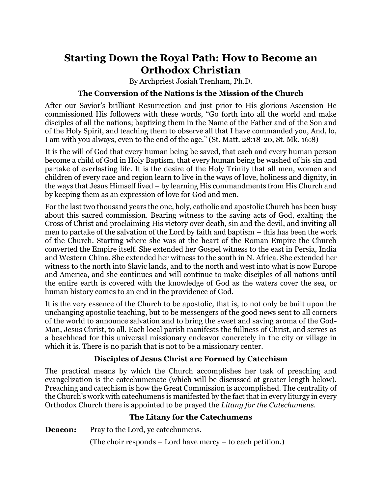# **Starting Down the Royal Path: How to Become an Orthodox Christian**

By Archpriest Josiah Trenham, Ph.D.

## **The Conversion of the Nations is the Mission of the Church**

After our Savior's brilliant Resurrection and just prior to His glorious Ascension He commissioned His followers with these words, "Go forth into all the world and make disciples of all the nations; baptizing them in the Name of the Father and of the Son and of the Holy Spirit, and teaching them to observe all that I have commanded you, And, lo, I am with you always, even to the end of the age." (St. Matt. 28:18-20, St. Mk. 16:8)

It is the will of God that every human being be saved, that each and every human person become a child of God in Holy Baptism, that every human being be washed of his sin and partake of everlasting life. It is the desire of the Holy Trinity that all men, women and children of every race and region learn to live in the ways of love, holiness and dignity, in the ways that Jesus Himself lived – by learning His commandments from His Church and by keeping them as an expression of love for God and men.

For the last two thousand years the one, holy, catholic and apostolic Church has been busy about this sacred commission. Bearing witness to the saving acts of God, exalting the Cross of Christ and proclaiming His victory over death, sin and the devil, and inviting all men to partake of the salvation of the Lord by faith and baptism – this has been the work of the Church. Starting where she was at the heart of the Roman Empire the Church converted the Empire itself. She extended her Gospel witness to the east in Persia, India and Western China. She extended her witness to the south in N. Africa. She extended her witness to the north into Slavic lands, and to the north and west into what is now Europe and America, and she continues and will continue to make disciples of all nations until the entire earth is covered with the knowledge of God as the waters cover the sea, or human history comes to an end in the providence of God.

It is the very essence of the Church to be apostolic, that is, to not only be built upon the unchanging apostolic teaching, but to be messengers of the good news sent to all corners of the world to announce salvation and to bring the sweet and saving aroma of the God-Man, Jesus Christ, to all. Each local parish manifests the fullness of Christ, and serves as a beachhead for this universal missionary endeavor concretely in the city or village in which it is. There is no parish that is not to be a missionary center.

## **Disciples of Jesus Christ are Formed by Catechism**

The practical means by which the Church accomplishes her task of preaching and evangelization is the catechumenate (which will be discussed at greater length below). Preaching and catechism is how the Great Commission is accomplished. The centrality of the Church's work with catechumens is manifested by the fact that in every liturgy in every Orthodox Church there is appointed to be prayed the *Litany for the Catechumens.* 

# **The Litany for the Catechumens**

**Deacon:** Pray to the Lord, ye cate chumens.

(The choir responds – Lord have mercy – to each petition.)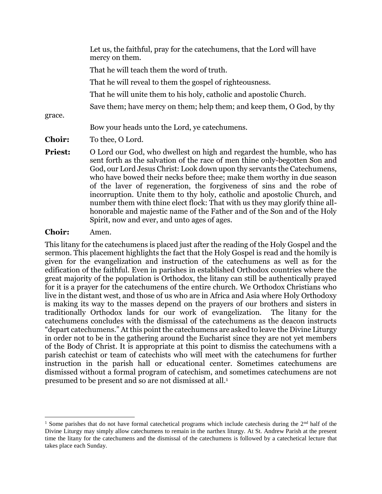|                | Let us, the faithful, pray for the cate chumens, that the Lord will have<br>mercy on them.                                                                                                                                                                                                                                                                                                                                                                                                                                                                                                                                                                                  |
|----------------|-----------------------------------------------------------------------------------------------------------------------------------------------------------------------------------------------------------------------------------------------------------------------------------------------------------------------------------------------------------------------------------------------------------------------------------------------------------------------------------------------------------------------------------------------------------------------------------------------------------------------------------------------------------------------------|
|                | That he will teach them the word of truth.                                                                                                                                                                                                                                                                                                                                                                                                                                                                                                                                                                                                                                  |
|                | That he will reveal to them the gospel of righteousness.                                                                                                                                                                                                                                                                                                                                                                                                                                                                                                                                                                                                                    |
|                | That he will unite them to his holy, catholic and apostolic Church.                                                                                                                                                                                                                                                                                                                                                                                                                                                                                                                                                                                                         |
|                | Save them; have mercy on them; help them; and keep them, O God, by thy                                                                                                                                                                                                                                                                                                                                                                                                                                                                                                                                                                                                      |
| grace.         |                                                                                                                                                                                                                                                                                                                                                                                                                                                                                                                                                                                                                                                                             |
|                | Bow your heads unto the Lord, ye cate chumens.                                                                                                                                                                                                                                                                                                                                                                                                                                                                                                                                                                                                                              |
| <b>Choir:</b>  | To thee, O Lord.                                                                                                                                                                                                                                                                                                                                                                                                                                                                                                                                                                                                                                                            |
| <b>Priest:</b> | O Lord our God, who dwellest on high and regardest the humble, who has<br>sent forth as the salvation of the race of men thine only-begotten Son and<br>God, our Lord Jesus Christ: Look down upon thy servants the Catechumens,<br>who have bowed their necks before thee; make them worthy in due season<br>of the laver of regeneration, the forgiveness of sins and the robe of<br>incorruption. Unite them to thy holy, catholic and apostolic Church, and<br>number them with thine elect flock: That with us they may glorify thine all-<br>honorable and majestic name of the Father and of the Son and of the Holy<br>Spirit, now and ever, and unto ages of ages. |

#### **Choir:** Amen.

 $\overline{\phantom{a}}$ 

This litany for the catechumens is placed just after the reading of the Holy Gospel and the sermon. This placement highlights the fact that the Holy Gospel is read and the homily is given for the evangelization and instruction of the catechumens as well as for the edification of the faithful. Even in parishes in established Orthodox countries where the great majority of the population is Orthodox, the litany can still be authentically prayed for it is a prayer for the catechumens of the entire church. We Orthodox Christians who live in the distant west, and those of us who are in Africa and Asia where Holy Orthodoxy is making its way to the masses depend on the prayers of our brothers and sisters in traditionally Orthodox lands for our work of evangelization. The litany for the catechumens concludes with the dismissal of the catechumens as the deacon instructs "depart catechumens." At this point the catechumens are asked to leave the Divine Liturgy in order not to be in the gathering around the Eucharist since they are not yet members of the Body of Christ. It is appropriate at this point to dismiss the catechumens with a parish catechist or team of catechists who will meet with the catechumens for further instruction in the parish hall or educational center. Sometimes catechumens are dismissed without a formal program of catechism, and sometimes catechumens are not presumed to be present and so are not dismissed at all.<sup>1</sup>

<sup>&</sup>lt;sup>1</sup> Some parishes that do not have formal catechetical programs which include catechesis during the  $2<sup>nd</sup>$  half of the Divine Liturgy may simply allow catechumens to remain in the narthex liturgy. At St. Andrew Parish at the present time the litany for the catechumens and the dismissal of the catechumens is followed by a catechetical lecture that takes place each Sunday.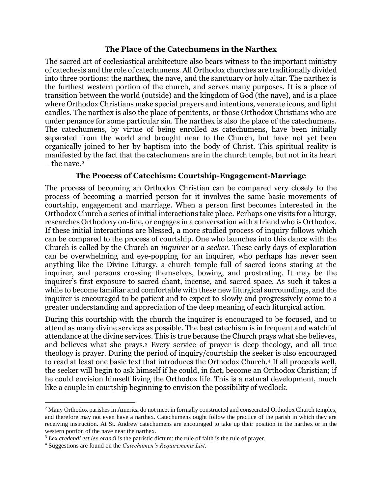#### **The Place of the Catechumens in the Narthex**

The sacred art of ecclesiastical architecture also bears witness to the important ministry of catechesis and the role of catechumens. All Orthodox churches are traditionally divided into three portions: the narthex, the nave, and the sanctuary or holy altar. The narthex is the furthest western portion of the church, and serves many purposes. It is a place of transition between the world (outside) and the kingdom of God (the nave), and is a place where Orthodox Christians make special prayers and intentions, venerate icons, and light candles. The narthex is also the place of penitents, or those Orthodox Christians who are under penance for some particular sin. The narthex is also the place of the catechumens. The catechumens, by virtue of being enrolled as catechumens, have been initially separated from the world and brought near to the Church, but have not yet been organically joined to her by baptism into the body of Christ. This spiritual reality is manifested by the fact that the catechumens are in the church temple, but not in its heart  $-$  the nave.<sup>2</sup>

#### **The Process of Catechism: Courtship-Engagement-Marriage**

The process of becoming an Orthodox Christian can be compared very closely to the process of becoming a married person for it involves the same basic movements of courtship, engagement and marriage. When a person first becomes interested in the Orthodox Church a series of initial interactions take place. Perhaps one visits for a liturgy, researches Orthodoxy on-line, or engages in a conversation with a friend who is Orthodox. If these initial interactions are blessed, a more studied process of inquiry follows which can be compared to the process of courtship. One who launches into this dance with the Church is called by the Church an *inquirer* or a *seeker.* These early days of exploration can be overwhelming and eye-popping for an inquirer, who perhaps has never seen anything like the Divine Liturgy, a church temple full of sacred icons staring at the inquirer, and persons crossing themselves, bowing, and prostrating. It may be the inquirer's first exposure to sacred chant, incense, and sacred space. As such it takes a while to become familiar and comfortable with these new liturgical surroundings, and the inquirer is encouraged to be patient and to expect to slowly and progressively come to a greater understanding and appreciation of the deep meaning of each liturgical action.

During this courtship with the church the inquirer is encouraged to be focused, and to attend as many divine services as possible. The best catechism is in frequent and watchful attendance at the divine services. This is true because the Church prays what she believes, and believes what she prays.<sup>3</sup> Every service of prayer is deep theology, and all true theology is prayer. During the period of inquiry/courtship the seeker is also encouraged to read at least one basic text that introduces the Orthodox Church.<sup>4</sup> If all proceeds well, the seeker will begin to ask himself if he could, in fact, become an Orthodox Christian; if he could envision himself living the Orthodox life. This is a natural development, much like a couple in courtship beginning to envision the possibility of wedlock.

l

<sup>2</sup> Many Orthodox parishes in America do not meet in formally constructed and consecrated Orthodox Church temples, and therefore may not even have a narthex. Catechumens ought follow the practice of the parish in which they are receiving instruction. At St. Andrew catechumens are encouraged to take up their position in the narthex or in the western portion of the nave near the narthex.

<sup>3</sup> *Lex credendi est lex orandi* is the patristic dictum: the rule of faith is the rule of prayer.

<sup>4</sup> Suggestions are found on the *Catechumen's Requirements List*.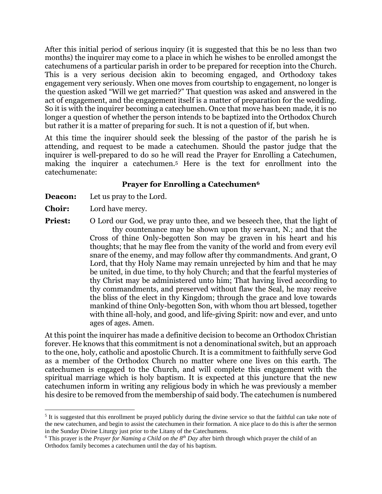After this initial period of serious inquiry (it is suggested that this be no less than two months) the inquirer may come to a place in which he wishes to be enrolled amongst the catechumens of a particular parish in order to be prepared for reception into the Church. This is a very serious decision akin to becoming engaged, and Orthodoxy takes engagement very seriously. When one moves from courtship to engagement, no longer is the question asked "Will we get married?" That question was asked and answered in the act of engagement, and the engagement itself is a matter of preparation for the wedding. So it is with the inquirer becoming a catechumen. Once that move has been made, it is no longer a question of whether the person intends to be baptized into the Orthodox Church but rather it is a matter of preparing for such. It is not a question of if, but when.

At this time the inquirer should seek the blessing of the pastor of the parish he is attending, and request to be made a catechumen. Should the pastor judge that the inquirer is well-prepared to do so he will read the Prayer for Enrolling a Catechumen, making the inquirer a catechumen.<sup>5</sup> Here is the text for enrollment into the catechumenate:

#### **Prayer for Enrolling a Catechumen<sup>6</sup>**

- **Deacon:** Let us pray to the Lord.
- **Choir:** Lord have mercy.

 $\overline{a}$ 

**Priest:** O Lord our God, we pray unto thee, and we beseech thee, that the light of thy countenance may be shown upon thy servant, N.; and that the Cross of thine Only-begotten Son may be graven in his heart and his thoughts; that he may flee from the vanity of the world and from every evil snare of the enemy, and may follow after thy commandments. And grant, O Lord, that thy Holy Name may remain unrejected by him and that he may be united, in due time, to thy holy Church; and that the fearful mysteries of thy Christ may be administered unto him; That having lived according to thy commandments, and preserved without flaw the Seal, he may receive the bliss of the elect in thy Kingdom; through the grace and love towards mankind of thine Only-begotten Son, with whom thou art blessed, together with thine all-holy, and good, and life-giving Spirit: now and ever, and unto ages of ages. Amen.

At this point the inquirer has made a definitive decision to become an Orthodox Christian forever. He knows that this commitment is not a denominational switch, but an approach to the one, holy, catholic and apostolic Church. It is a commitment to faithfully serve God as a member of the Orthodox Church no matter where one lives on this earth. The catechumen is engaged to the Church, and will complete this engagement with the spiritual marriage which is holy baptism. It is expected at this juncture that the new catechumen inform in writing any religious body in which he was previously a member his desire to be removed from the membership of said body. The catechumen is numbered

<sup>&</sup>lt;sup>5</sup> It is suggested that this enrollment be prayed publicly during the divine service so that the faithful can take note of the new catechumen, and begin to assist the catechumen in their formation. A nice place to do this is after the sermon in the Sunday Divine Liturgy just prior to the Litany of the Catechumens.

<sup>6</sup> This prayer is the *Prayer for Naming a Child on the 8th Day* after birth through which prayer the child of an Orthodox family becomes a catechumen until the day of his baptism.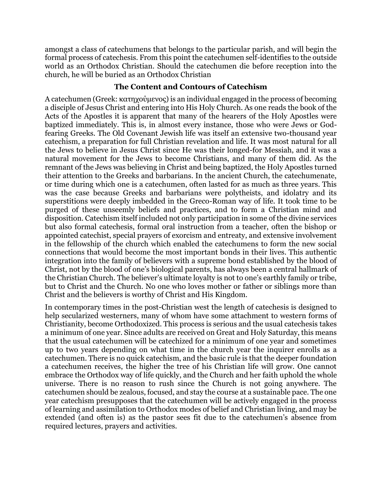amongst a class of catechumens that belongs to the particular parish, and will begin the formal process of catechesis. From this point the catechumen self-identifies to the outside world as an Orthodox Christian. Should the catechumen die before reception into the church, he will be buried as an Orthodox Christian

#### **The Content and Contours of Catechism**

A catechumen (Greek: κατηχούμενος) is an individual engaged in the process of becoming a disciple of Jesus Christ and entering into His Holy Church. As one reads the book of the Acts of the Apostles it is apparent that many of the hearers of the Holy Apostles were baptized immediately. This is, in almost every instance, those who were Jews or Godfearing Greeks. The Old Covenant Jewish life was itself an extensive two-thousand year catechism, a preparation for full Christian revelation and life. It was most natural for all the Jews to believe in Jesus Christ since He was their longed-for Messiah, and it was a natural movement for the Jews to become Christians, and many of them did. As the remnant of the Jews was believing in Christ and being baptized, the Holy Apostles turned their attention to the Greeks and barbarians. In the ancient Church, the catechumenate, or time during which one is a catechumen, often lasted for as much as three years. This was the case because Greeks and barbarians were polytheists, and idolatry and its superstitions were deeply imbedded in the Greco-Roman way of life. It took time to be purged of these unseemly beliefs and practices, and to form a Christian mind and disposition. Catechism itself included not only participation in some of the divine services but also formal catechesis, formal oral instruction from a teacher, often the bishop or appointed catechist, special prayers of exorcism and entreaty, and extensive involvement in the fellowship of the church which enabled the catechumens to form the new social connections that would become the most important bonds in their lives. This authentic integration into the family of believers with a supreme bond established by the blood of Christ, not by the blood of one's biological parents, has always been a central hallmark of the Christian Church. The believer's ultimate loyalty is not to one's earthly family or tribe, but to Christ and the Church. No one who loves mother or father or siblings more than Christ and the believers is worthy of Christ and His Kingdom.

In contemporary times in the post-Christian west the length of catechesis is designed to help secularized westerners, many of whom have some attachment to western forms of Christianity, become Orthodoxized. This process is serious and the usual catechesis takes a minimum of one year. Since adults are received on Great and Holy Saturday, this means that the usual catechumen will be catechized for a minimum of one year and sometimes up to two years depending on what time in the church year the inquirer enrolls as a catechumen. There is no quick catechism, and the basic rule is that the deeper foundation a catechumen receives, the higher the tree of his Christian life will grow. One cannot embrace the Orthodox way of life quickly, and the Church and her faith uphold the whole universe. There is no reason to rush since the Church is not going anywhere. The catechumen should be zealous, focused, and stay the course at a sustainable pace. The one year catechism presupposes that the catechumen will be actively engaged in the process of learning and assimilation to Orthodox modes of belief and Christian living, and may be extended (and often is) as the pastor sees fit due to the catechumen's absence from required lectures, prayers and activities.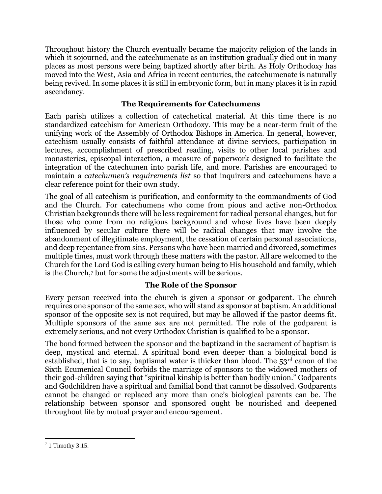Throughout history the Church eventually became the majority religion of the lands in which it sojourned, and the catechumenate as an institution gradually died out in many places as most persons were being baptized shortly after birth. As Holy Orthodoxy has moved into the West, Asia and Africa in recent centuries, the catechumenate is naturally being revived. In some places it is still in embryonic form, but in many places it is in rapid ascendancy.

## **The Requirements for Catechumens**

Each parish utilizes a collection of catechetical material. At this time there is no standardized catechism for American Orthodoxy. This may be a near-term fruit of the unifying work of the Assembly of Orthodox Bishops in America. In general, however, catechism usually consists of faithful attendance at divine services, participation in lectures, accomplishment of prescribed reading, visits to other local parishes and monasteries, episcopal interaction, a measure of paperwork designed to facilitate the integration of the catechumen into parish life, and more. Parishes are encouraged to maintain a *catechumen's requirements list* so that inquirers and catechumens have a clear reference point for their own study.

The goal of all catechism is purification, and conformity to the commandments of God and the Church. For catechumens who come from pious and active non-Orthodox Christian backgrounds there will be less requirement for radical personal changes, but for those who come from no religious background and whose lives have been deeply influenced by secular culture there will be radical changes that may involve the abandonment of illegitimate employment, the cessation of certain personal associations, and deep repentance from sins. Persons who have been married and divorced, sometimes multiple times, must work through these matters with the pastor. All are welcomed to the Church for the Lord God is calling every human being to His household and family, which is the Church,<sup>7</sup> but for some the adjustments will be serious.

## **The Role of the Sponsor**

Every person received into the church is given a sponsor or godparent. The church requires one sponsor of the same sex, who will stand as sponsor at baptism. An additional sponsor of the opposite sex is not required, but may be allowed if the pastor deems fit. Multiple sponsors of the same sex are not permitted. The role of the godparent is extremely serious, and not every Orthodox Christian is qualified to be a sponsor.

The bond formed between the sponsor and the baptizand in the sacrament of baptism is deep, mystical and eternal. A spiritual bond even deeper than a biological bond is established, that is to say, baptismal water is thicker than blood. The  $53<sup>rd</sup>$  canon of the Sixth Ecumenical Council forbids the marriage of sponsors to the widowed mothers of their god-children saying that "spiritual kinship is better than bodily union." Godparents and Godchildren have a spiritual and familial bond that cannot be dissolved. Godparents cannot be changed or replaced any more than one's biological parents can be. The relationship between sponsor and sponsored ought be nourished and deepened throughout life by mutual prayer and encouragement.

 $\overline{\phantom{a}}$ <sup>7</sup> 1 Timothy 3:15.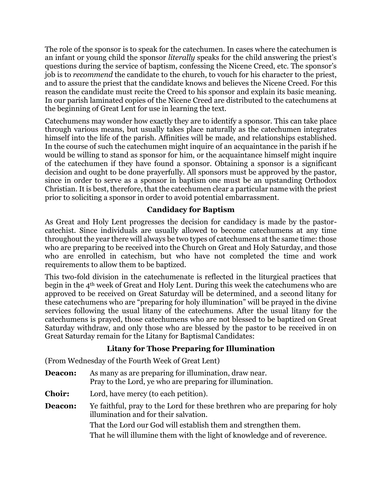The role of the sponsor is to speak for the catechumen. In cases where the catechumen is an infant or young child the sponsor *literally* speaks for the child answering the priest's questions during the service of baptism, confessing the Nicene Creed, etc. The sponsor's job is to *recommend* the candidate to the church, to vouch for his character to the priest, and to assure the priest that the candidate knows and believes the Nicene Creed. For this reason the candidate must recite the Creed to his sponsor and explain its basic meaning. In our parish laminated copies of the Nicene Creed are distributed to the catechumens at the beginning of Great Lent for use in learning the text.

Catechumens may wonder how exactly they are to identify a sponsor. This can take place through various means, but usually takes place naturally as the catechumen integrates himself into the life of the parish. Affinities will be made, and relationships established. In the course of such the catechumen might inquire of an acquaintance in the parish if he would be willing to stand as sponsor for him, or the acquaintance himself might inquire of the catechumen if they have found a sponsor. Obtaining a sponsor is a significant decision and ought to be done prayerfully. All sponsors must be approved by the pastor, since in order to serve as a sponsor in baptism one must be an upstanding Orthodox Christian. It is best, therefore, that the catechumen clear a particular name with the priest prior to soliciting a sponsor in order to avoid potential embarrassment.

## **Candidacy for Baptism**

As Great and Holy Lent progresses the decision for candidacy is made by the pastorcatechist. Since individuals are usually allowed to become catechumens at any time throughout the year there will always be two types of catechumens at the same time: those who are preparing to be received into the Church on Great and Holy Saturday, and those who are enrolled in catechism, but who have not completed the time and work requirements to allow them to be baptized.

This two-fold division in the catechumenate is reflected in the liturgical practices that begin in the 4th week of Great and Holy Lent. During this week the catechumens who are approved to be received on Great Saturday will be determined, and a second litany for these catechumens who are "preparing for holy illumination" will be prayed in the divine services following the usual litany of the catechumens. After the usual litany for the catechumens is prayed, those catechumens who are not blessed to be baptized on Great Saturday withdraw, and only those who are blessed by the pastor to be received in on Great Saturday remain for the Litany for Baptismal Candidates:

#### **Litany for Those Preparing for Illumination**

(From Wednesday of the Fourth Week of Great Lent)

- **Deacon:** As many as are preparing for illumination, draw near. Pray to the Lord, ye who are preparing for illumination.
- **Choir:** Lord, have mercy (to each petition).
- **Deacon:** Ye faithful, pray to the Lord for these brethren who are preparing for holy illumination and for their salvation. That the Lord our God will establish them and strengthen them. That he will illumine them with the light of knowledge and of reverence.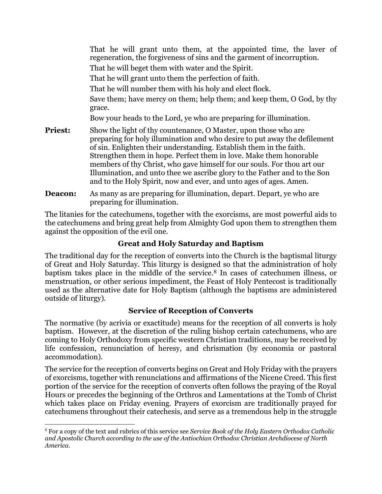That he will grant unto them, at the appointed time, the laver of regeneration, the forgiveness of sins and the garment of incorruption. That he will beget them with water and the Spirit. That he will grant unto them the perfection of faith. That he will number them with his holy and elect flock. Save them; have mercy on them; help them; and keep them, O God, by thy grace. Bow your heads to the Lord, ye who are preparing for illumination. **Priest:** Show the light of thy countenance, O Master, upon those who are preparing for holy illumination and who desire to put away the defilement of sin. Enlighten their understanding. Establish them in the faith. Strengthen them in hope. Perfect them in love. Make them honorable members of thy Christ, who gave himself for our souls. For thou art our Illumination, and unto thee we ascribe glory to the Father and to the Son and to the Holy Spirit, now and ever, and unto ages of ages. Amen.

**Deacon:** As many as are preparing for illumination, depart. Depart, ye who are preparing for illumination.

The litanies for the catechumens, together with the exorcisms, are most powerful aids to the catechumens and bring great help from Almighty God upon them to strengthen them against the opposition of the evil one.

## **Great and Holy Saturday and Baptism**

The traditional day for the reception of converts into the Church is the baptismal liturgy of Great and Holy Saturday. This liturgy is designed so that the administration of holy baptism takes place in the middle of the service.<sup>8</sup> In cases of catechumen illness, or menstruation, or other serious impediment, the Feast of Holy Pentecost is traditionally used as the alternative date for Holy Baptism (although the baptisms are administered outside of liturgy).

## **Service of Reception of Converts**

The normative (by acrivia or exactitude) means for the reception of all converts is holy baptism. However, at the discretion of the ruling bishop certain catechumens, who are coming to Holy Orthodoxy from specific western Christian traditions, may be received by life confession, renunciation of heresy, and chrismation (by economia or pastoral accommodation).

The service for the reception of converts begins on Great and Holy Friday with the prayers of exorcisms, together with renunciations and affirmations of the Nicene Creed. This first portion of the service for the reception of converts often follows the praying of the Royal Hours or precedes the beginning of the Orthros and Lamentations at the Tomb of Christ which takes place on Friday evening. Prayers of exorcism are traditionally prayed for catechumens throughout their catechesis, and serve as a tremendous help in the struggle

 $\overline{a}$ 

<sup>8</sup> For a copy of the text and rubrics of this service see *Service Book of the Holy Eastern Orthodox Catholic and Apostolic Church according to the use of the Antiochian Orthodox Christian Archdiocese of North America*.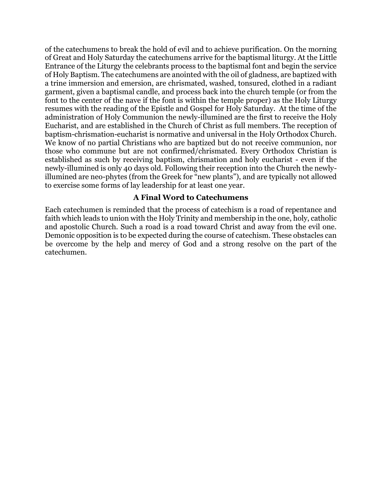of the catechumens to break the hold of evil and to achieve purification. On the morning of Great and Holy Saturday the catechumens arrive for the baptismal liturgy. At the Little Entrance of the Liturgy the celebrants process to the baptismal font and begin the service of Holy Baptism. The catechumens are anointed with the oil of gladness, are baptized with a trine immersion and emersion, are chrismated, washed, tonsured, clothed in a radiant garment, given a baptismal candle, and process back into the church temple (or from the font to the center of the nave if the font is within the temple proper) as the Holy Liturgy resumes with the reading of the Epistle and Gospel for Holy Saturday. At the time of the administration of Holy Communion the newly-illumined are the first to receive the Holy Eucharist, and are established in the Church of Christ as full members. The reception of baptism-chrismation-eucharist is normative and universal in the Holy Orthodox Church. We know of no partial Christians who are baptized but do not receive communion, nor those who commune but are not confirmed/chrismated. Every Orthodox Christian is established as such by receiving baptism, chrismation and holy eucharist - even if the newly-illumined is only 40 days old. Following their reception into the Church the newlyillumined are neo-phytes (from the Greek for "new plants"), and are typically not allowed to exercise some forms of lay leadership for at least one year.

#### **A Final Word to Catechumens**

Each catechumen is reminded that the process of catechism is a road of repentance and faith which leads to union with the Holy Trinity and membership in the one, holy, catholic and apostolic Church. Such a road is a road toward Christ and away from the evil one. Demonic opposition is to be expected during the course of catechism. These obstacles can be overcome by the help and mercy of God and a strong resolve on the part of the catechumen.